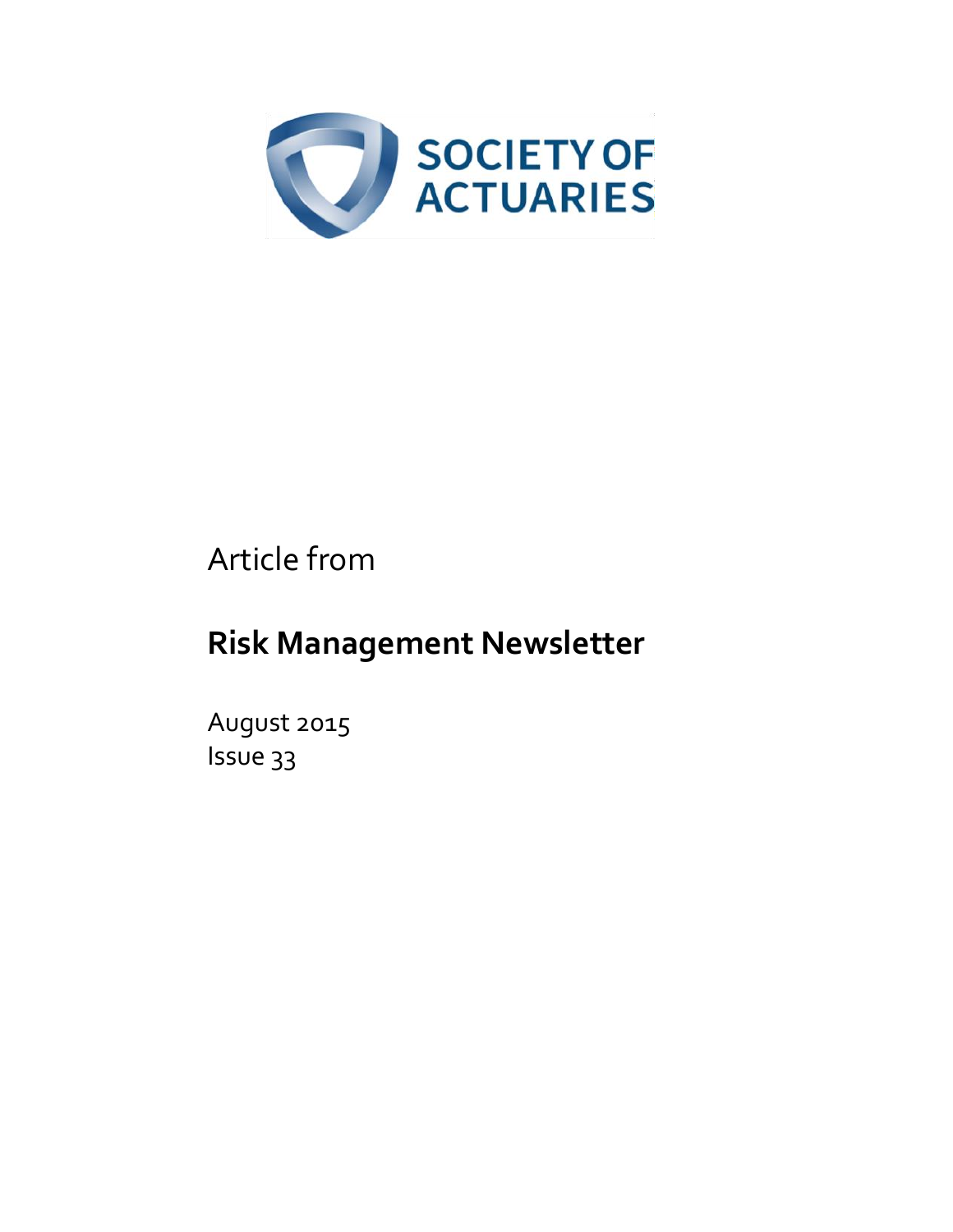

## Article from

# **Risk Management Newsletter**

August 2015 Issue 33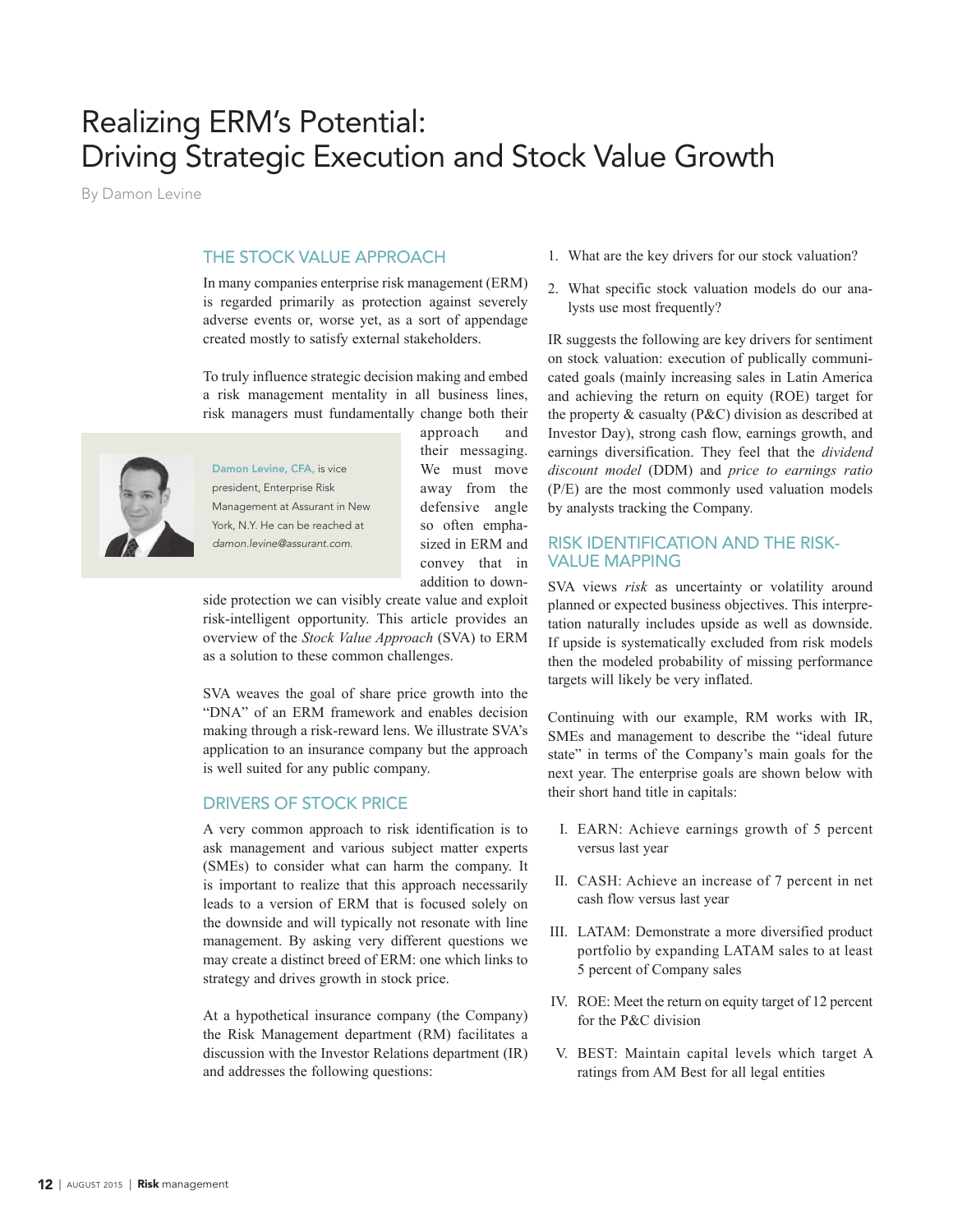### Realizing ERM's Potential: Driving Strategic Execution and Stock Value Growth

By Damon Levine

### THE STOCK VALUE APPROACH

In many companies enterprise risk management (ERM) is regarded primarily as protection against severely adverse events or, worse yet, as a sort of appendage created mostly to satisfy external stakeholders.

To truly influence strategic decision making and embed a risk management mentality in all business lines, risk managers must fundamentally change both their



Damon Levine, CFA, is vice president, Enterprise Risk Management at Assurant in New York, N.Y. He can be reached at *damon.levine@assurant.com.*

approach and their messaging. We must move away from the defensive angle so often emphasized in ERM and convey that in addition to down-

side protection we can visibly create value and exploit risk-intelligent opportunity. This article provides an overview of the *Stock Value Approach* (SVA) to ERM as a solution to these common challenges.

SVA weaves the goal of share price growth into the "DNA" of an ERM framework and enables decision making through a risk-reward lens. We illustrate SVA's application to an insurance company but the approach is well suited for any public company.

#### DRIVERS OF STOCK PRICE

A very common approach to risk identification is to ask management and various subject matter experts (SMEs) to consider what can harm the company. It is important to realize that this approach necessarily leads to a version of ERM that is focused solely on the downside and will typically not resonate with line management. By asking very different questions we may create a distinct breed of ERM: one which links to strategy and drives growth in stock price.

At a hypothetical insurance company (the Company) the Risk Management department (RM) facilitates a discussion with the Investor Relations department (IR) and addresses the following questions:

- 1. What are the key drivers for our stock valuation?
- 2. What specific stock valuation models do our analysts use most frequently?

IR suggests the following are key drivers for sentiment on stock valuation: execution of publically communicated goals (mainly increasing sales in Latin America and achieving the return on equity (ROE) target for the property & casualty (P&C) division as described at Investor Day), strong cash flow, earnings growth, and earnings diversification. They feel that the *dividend discount model* (DDM) and *price to earnings ratio* (P/E) are the most commonly used valuation models by analysts tracking the Company.

#### RISK IDENTIFICATION AND THE RISK-VALUE MAPPING

SVA views *risk* as uncertainty or volatility around planned or expected business objectives. This interpretation naturally includes upside as well as downside. If upside is systematically excluded from risk models then the modeled probability of missing performance targets will likely be very inflated.

Continuing with our example, RM works with IR, SMEs and management to describe the "ideal future state" in terms of the Company's main goals for the next year. The enterprise goals are shown below with their short hand title in capitals:

- I. EARN: Achieve earnings growth of 5 percent versus last year
- II. CASH: Achieve an increase of 7 percent in net cash flow versus last year
- III. LATAM: Demonstrate a more diversified product portfolio by expanding LATAM sales to at least 5 percent of Company sales
- IV. ROE: Meet the return on equity target of 12 percent for the P&C division
- V. BEST: Maintain capital levels which target A ratings from AM Best for all legal entities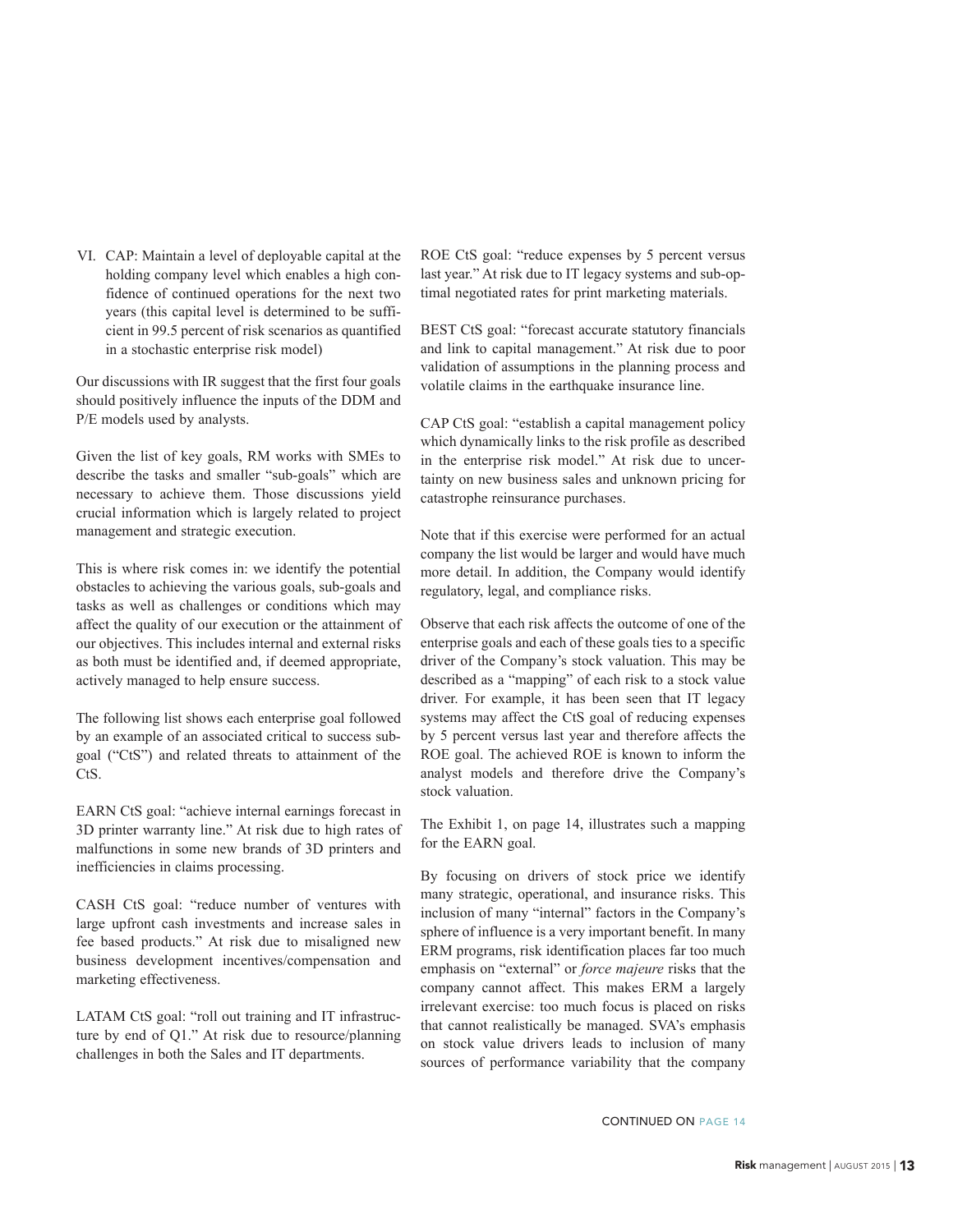VI. CAP: Maintain a level of deployable capital at the holding company level which enables a high confidence of continued operations for the next two years (this capital level is determined to be sufficient in 99.5 percent of risk scenarios as quantified in a stochastic enterprise risk model)

Our discussions with IR suggest that the first four goals should positively influence the inputs of the DDM and P/E models used by analysts.

Given the list of key goals, RM works with SMEs to describe the tasks and smaller "sub-goals" which are necessary to achieve them. Those discussions yield crucial information which is largely related to project management and strategic execution.

This is where risk comes in: we identify the potential obstacles to achieving the various goals, sub-goals and tasks as well as challenges or conditions which may affect the quality of our execution or the attainment of our objectives. This includes internal and external risks as both must be identified and, if deemed appropriate, actively managed to help ensure success.

The following list shows each enterprise goal followed by an example of an associated critical to success subgoal ("CtS") and related threats to attainment of the CtS.

EARN CtS goal: "achieve internal earnings forecast in 3D printer warranty line." At risk due to high rates of malfunctions in some new brands of 3D printers and inefficiencies in claims processing.

CASH CtS goal: "reduce number of ventures with large upfront cash investments and increase sales in fee based products." At risk due to misaligned new business development incentives/compensation and marketing effectiveness.

LATAM CtS goal: "roll out training and IT infrastructure by end of Q1." At risk due to resource/planning challenges in both the Sales and IT departments.

ROE CtS goal: "reduce expenses by 5 percent versus last year." At risk due to IT legacy systems and sub-optimal negotiated rates for print marketing materials.

BEST CtS goal: "forecast accurate statutory financials and link to capital management." At risk due to poor validation of assumptions in the planning process and volatile claims in the earthquake insurance line.

CAP CtS goal: "establish a capital management policy which dynamically links to the risk profile as described in the enterprise risk model." At risk due to uncertainty on new business sales and unknown pricing for catastrophe reinsurance purchases.

Note that if this exercise were performed for an actual company the list would be larger and would have much more detail. In addition, the Company would identify regulatory, legal, and compliance risks.

Observe that each risk affects the outcome of one of the enterprise goals and each of these goals ties to a specific driver of the Company's stock valuation. This may be described as a "mapping" of each risk to a stock value driver. For example, it has been seen that IT legacy systems may affect the CtS goal of reducing expenses by 5 percent versus last year and therefore affects the ROE goal. The achieved ROE is known to inform the analyst models and therefore drive the Company's stock valuation.

The Exhibit 1, on page 14, illustrates such a mapping for the EARN goal.

By focusing on drivers of stock price we identify many strategic, operational, and insurance risks. This inclusion of many "internal" factors in the Company's sphere of influence is a very important benefit. In many ERM programs, risk identification places far too much emphasis on "external" or *force majeure* risks that the company cannot affect. This makes ERM a largely irrelevant exercise: too much focus is placed on risks that cannot realistically be managed. SVA's emphasis on stock value drivers leads to inclusion of many sources of performance variability that the company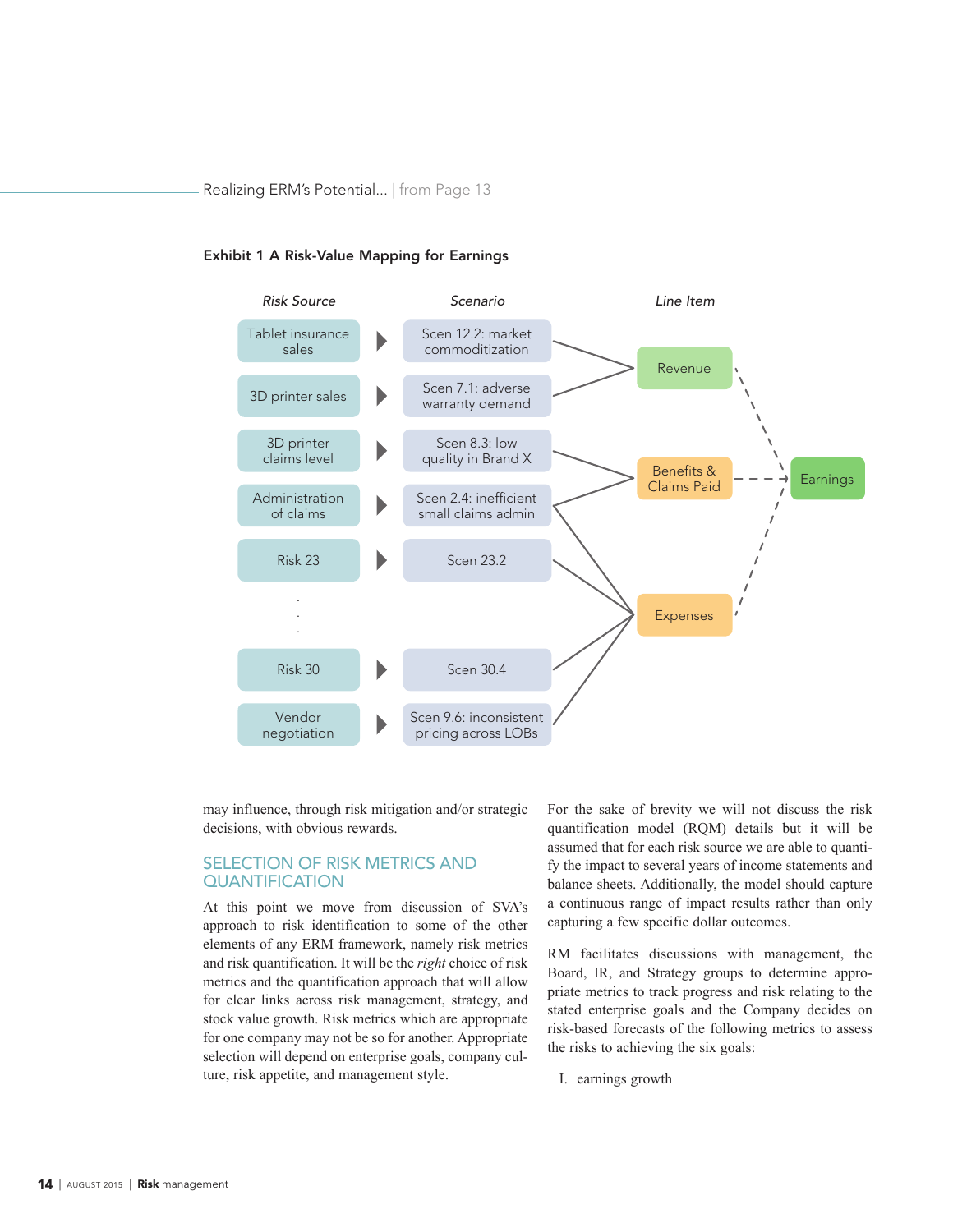

#### Exhibit 1 A Risk-Value Mapping for Earnings



may influence, through risk mitigation and/or strategic decisions, with obvious rewards.

#### SELECTION OF RISK METRICS AND **QUANTIFICATION**

At this point we move from discussion of SVA's approach to risk identification to some of the other elements of any ERM framework, namely risk metrics and risk quantification. It will be the *right* choice of risk metrics and the quantification approach that will allow for clear links across risk management, strategy, and stock value growth. Risk metrics which are appropriate for one company may not be so for another. Appropriate selection will depend on enterprise goals, company culture, risk appetite, and management style.

For the sake of brevity we will not discuss the risk quantification model (RQM) details but it will be assumed that for each risk source we are able to quantify the impact to several years of income statements and balance sheets. Additionally, the model should capture a continuous range of impact results rather than only capturing a few specific dollar outcomes.

RM facilitates discussions with management, the Board, IR, and Strategy groups to determine appropriate metrics to track progress and risk relating to the stated enterprise goals and the Company decides on risk-based forecasts of the following metrics to assess the risks to achieving the six goals:

I. earnings growth